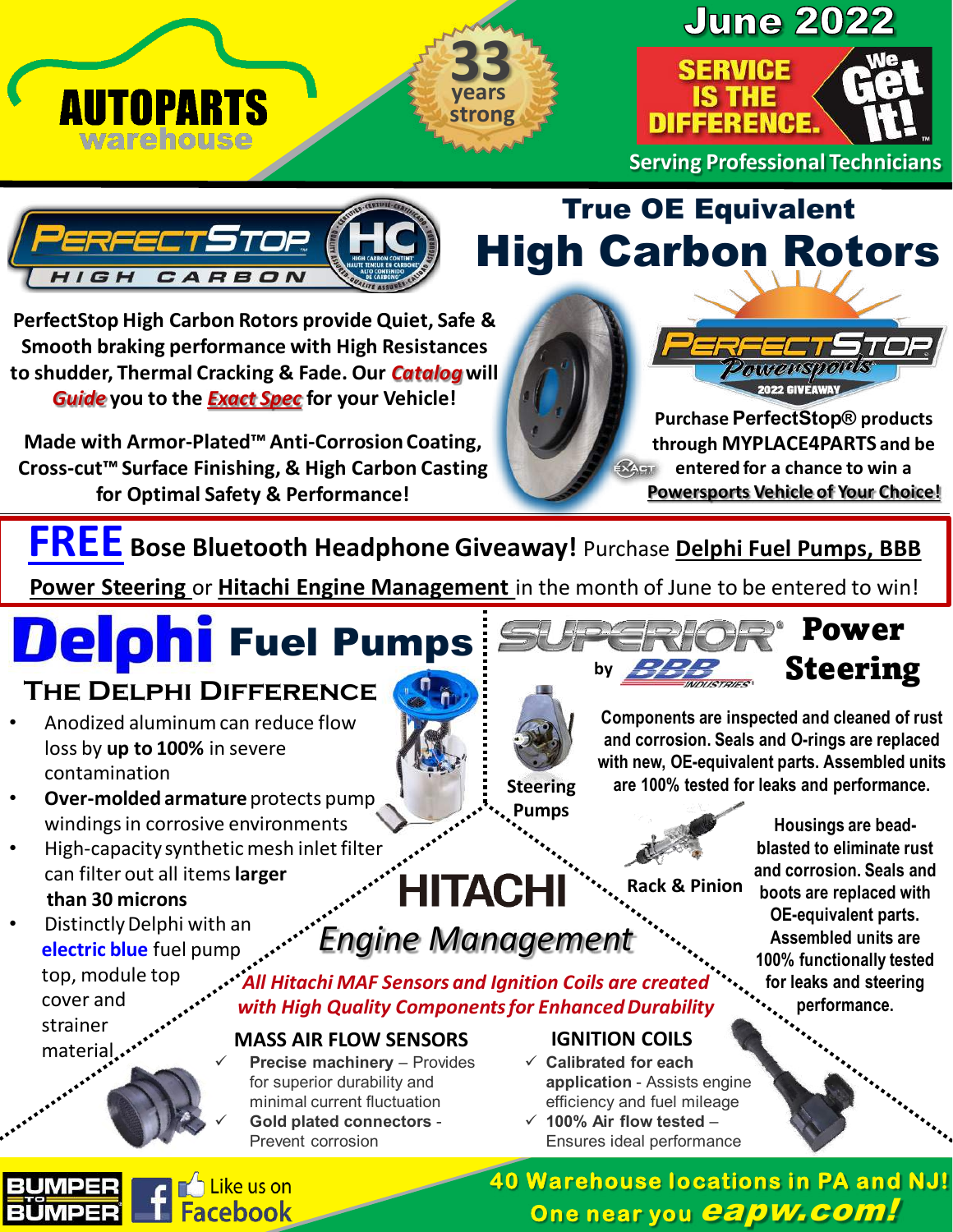





**Serving Professional Technicians**



## True OE Equivalent High Carbon Rotors

**PerfectStop High Carbon Rotors provide Quiet, Safe & Smooth braking performance with High Resistances to shudder, Thermal Cracking & Fade. Our** *Catalog***will**  *Guide* **you to the** *Exact Spec* **for your Vehicle!**

**Made with Armor-Plated™ Anti-Corrosion Coating, Cross-cut™ Surface Finishing, & High Carbon Casting for Optimal Safety & Performance!**



**Purchase PerfectStop® products through MYPLACE4PARTS and be entered for a chance to win a Powersports Vehicle of Your Choice!**

**FREE Bose Bluetooth Headphone Giveaway!** Purchase **Delphi Fuel Pumps, BBB** 

**Power Steering** or **Hitachi Engine Management** in the month of June to be entered to win!

## Fuel Pumps

Like us on **acebook** 

#### **The Delphi Difference**

- Anodized aluminum can reduce flow loss by **up to 100%** in severe contamination
- **Over-molded armature** protects pump windings in corrosive environments
- High-capacity synthetic mesh inlet filter can filter out all items**larger than 30 microns**
- Distinctly Delphi with an **electric blue** fuel pump top, module top

cover and strainer material<sub>...</sub>.





**Components are inspected and cleaned of rust and corrosion. Seals and O-rings are replaced with new, OE-equivalent parts. Assembled units are 100% tested for leaks and performance.**

**HITACHI** 

**Steering Pumps**

### *Engine Management*

*All Hitachi MAF Sensors and Ignition Coils are created with High Quality Components for Enhanced Durability*

#### **MASS AIR FLOW SENSORS IGNITION COILS**

 **Precise machinery** – Provides for superior durability and minimal current fluctuation **Gold plated connectors** - Prevent corrosion

- **Calibrated for each application** - Assists engine efficiency and fuel mileage
- **100% Air flow tested** Ensures ideal performance

**Housings are beadblasted to eliminate rust and corrosion. Seals and boots are replaced with OE-equivalent parts. Assembled units are 100% functionally tested for leaks and steering performance.** 

**40 Warehouse locations in PA and NJ! One near you capw.com!** 

**Rack & Pinion**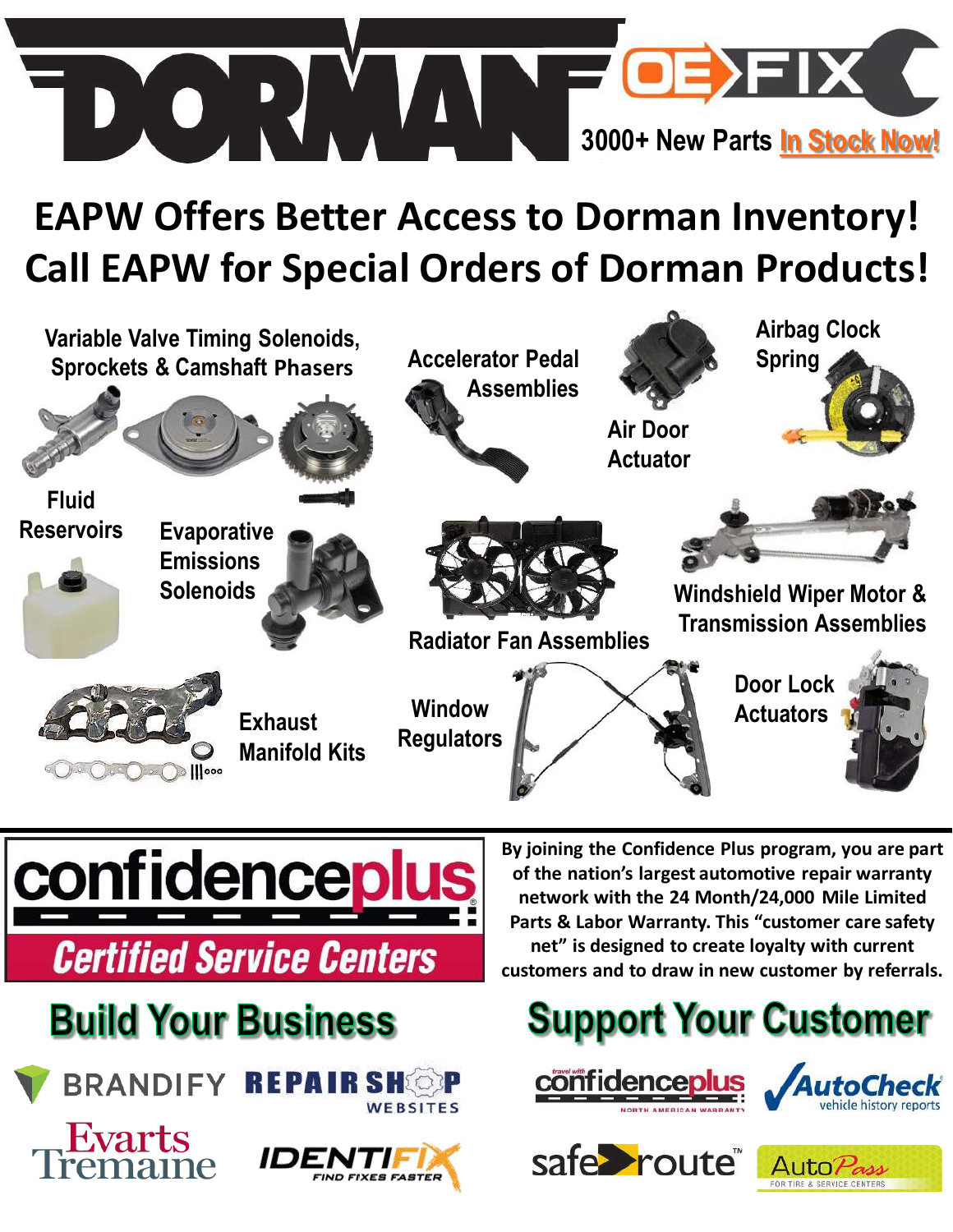

## **EAPW Offers Better Access to Dorman Inventory! Call EAPW for Special Orders of Dorman Products!**





## **Build Your Business**



**BRANDIFY REPAIRSHOP** WEBSITES



**By joining the Confidence Plus program, you are part of the nation's largest automotive repair warranty network with the 24 Month/24,000 Mile Limited Parts & Labor Warranty. This "customer care safety net" is designed to create loyalty with current customers and to draw in new customer by referrals.** 

## **Support Your Customer**







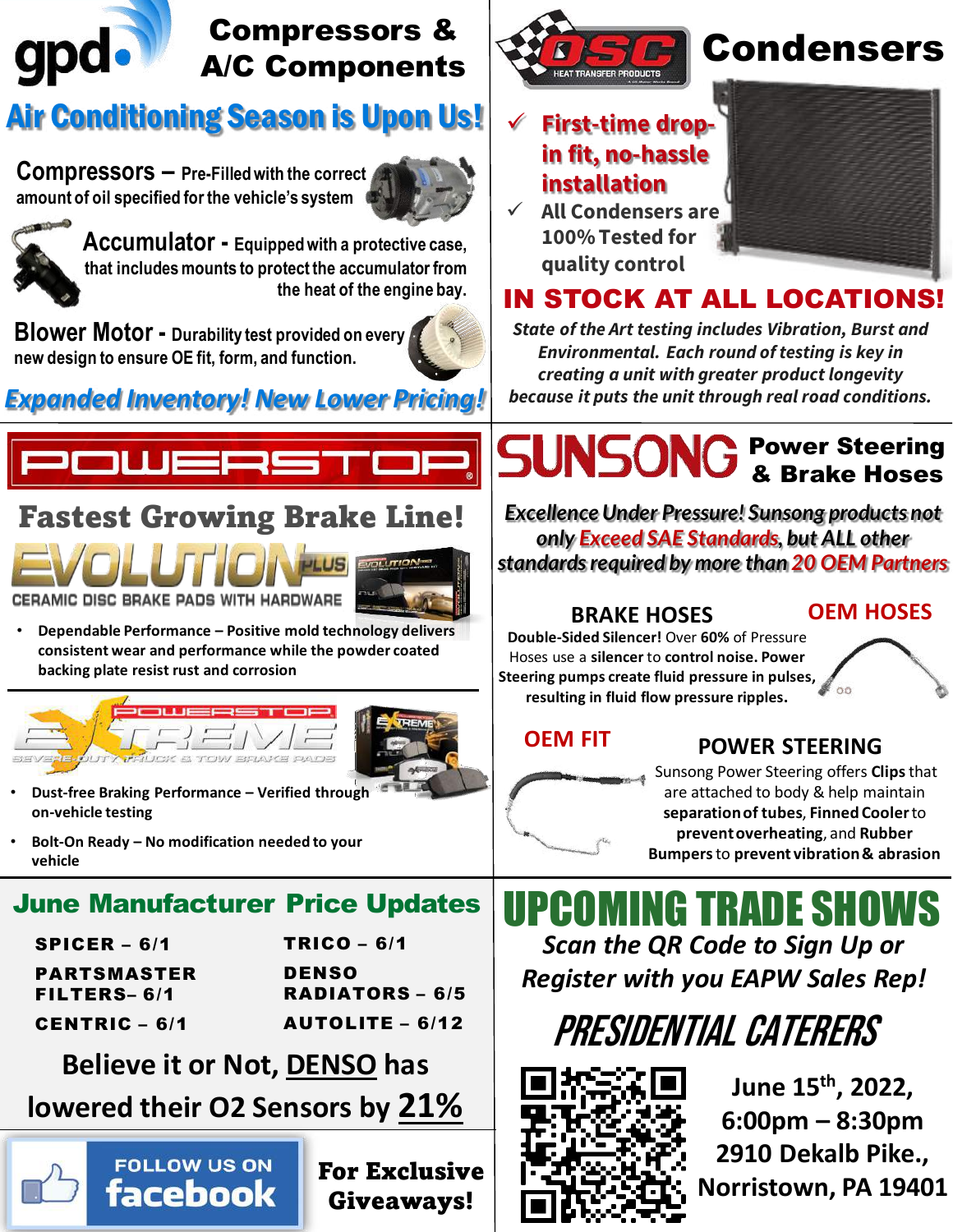

#### Compressors & A/C Components

#### Air Conditioning Season is Upon Us!

**Compressors – Pre-Filled with the correct amount of oil specified for the vehicle's system** 





**Accumulator - Equipped with a protective case, that includes mounts to protect the accumulator from the heat of the engine bay.**

**Blower Motor - Durability test provided on every new design to ensure OE fit, form, and function.** 



*Expanded Inventory! New Lower Pricing! because it puts the unit through real road conditions.* 



#### Fastest Growing Brake Line!





• **Dependable Performance – Positive mold technology delivers consistent wear and performance while the powder coated backing plate resist rust and corrosion** 





- **Dust-free Braking Performance – Verified through on-vehicle testing**
- **Bolt-On Ready – No modification needed to your vehicle**

#### June Manufacturer Price Updates

| SPICER $-6/1$<br>PARTSMASTER<br>FILTERS-6/1 | $TRICO - 6/1$<br><b>DENSO</b><br><b>RADIATORS - 6/5</b> |                      |                        |
|---------------------------------------------|---------------------------------------------------------|----------------------|------------------------|
|                                             |                                                         | <b>CENTRIC - 6/1</b> | <b>AUTOLITE - 6/12</b> |

**Believe it or Not, DENSO has** 

## **lowered their O2 Sensors by 21%**



For Exclusive Giveaways!



## Condensers

 **First-time dropin fit, no-hassle installation**

 **All Condensers are 100% Tested for quality control**

#### IN STOCK AT ALL LOCATIONS!

*State of the Art testing includes Vibration, Burst and Environmental. Each round of testing is key in creating a unit with greater product longevity* 

#### SUNSONG Power Steering **Brake Hoses**

*Excellence Under Pressure! Sunsong products not only Exceed SAE Standards, but ALL other standards required by more than 20 OEM Partners*

#### **BRAKE HOSES**

**Double-Sided Silencer!** Over **60%** of Pressure Hoses use a **silencer** to **control noise. Power Steering pumps create fluid pressure in pulses, resulting in fluid flow pressure ripples.** 

**OEM FIT**

#### **POWER STEERING**

**OEM HOSES**

Sunsong Power Steering offers **Clips**that are attached to body & help maintain **separation of tubes**, **Finned Cooler**to **prevent overheating**, and **Rubber Bumpers**to **prevent vibration & abrasion**

UPCOMING TRADE SHOWS *Scan the QR Code to Sign Up or Register with you EAPW Sales Rep!*





**June 15th, 2022, 6:00pm – 8:30pm 2910 Dekalb Pike., Norristown, PA 19401**